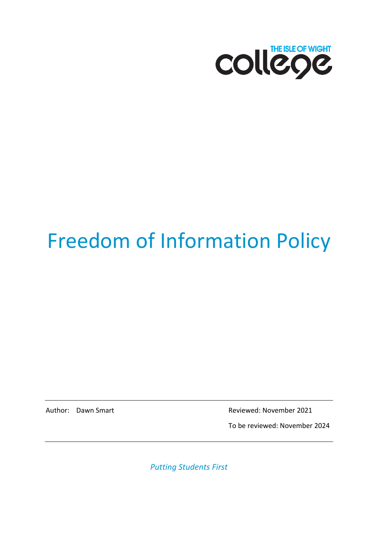

# Freedom of Information Policy

Author: Dawn Smart **Reviewed: November 2021** 

To be reviewed: November 2024

*Putting Students First*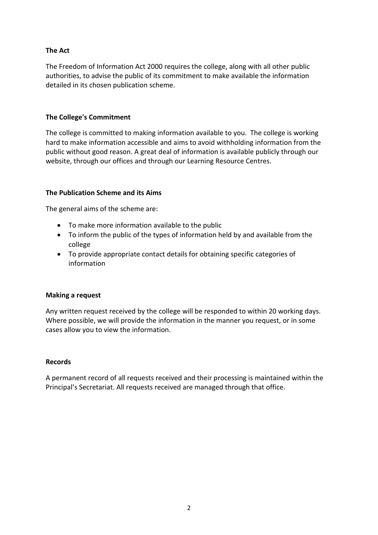#### **The Act**

The Freedom of Information Act 2000 requires the college, along with all other public authorities, to advise the public of its commitment to make available the information detailed in its chosen publication scheme.

#### **The College's Commitment**

The college is committed to making information available to you. The college is working hard to make information accessible and aims to avoid withholding information from the public without good reason. A great deal of information is available publicly through our website, through our offices and through our Learning Resource Centres.

#### **The Publication Scheme and its Aims**

The general aims of the scheme are:

- To make more information available to the public
- To inform the public of the types of information held by and available from the college
- To provide appropriate contact details for obtaining specific categories of information

#### **Making a request**

Any written request received by the college will be responded to within 20 working days. Where possible, we will provide the information in the manner you request, or in some cases allow you to view the information.

#### **Records**

A permanent record of all requests received and their processing is maintained within the Principal's Secretariat. All requests received are managed through that office.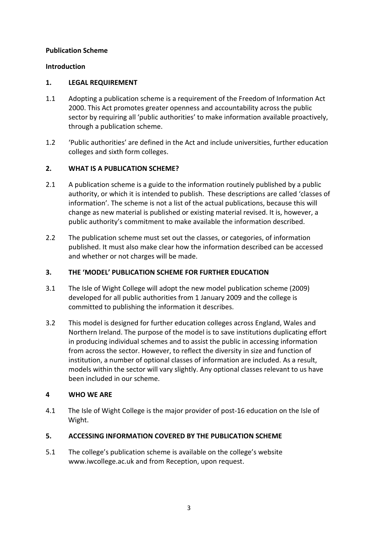#### **Publication Scheme**

#### **Introduction**

#### **1. LEGAL REQUIREMENT**

- 1.1 Adopting a publication scheme is a requirement of the Freedom of Information Act 2000. This Act promotes greater openness and accountability across the public sector by requiring all 'public authorities' to make information available proactively, through a publication scheme.
- 1.2 'Public authorities' are defined in the Act and include universities, further education colleges and sixth form colleges.

#### **2. WHAT IS A PUBLICATION SCHEME?**

- 2.1 A publication scheme is a guide to the information routinely published by a public authority, or which it is intended to publish. These descriptions are called 'classes of information'. The scheme is not a list of the actual publications, because this will change as new material is published or existing material revised. It is, however, a public authority's commitment to make available the information described.
- 2.2 The publication scheme must set out the classes, or categories, of information published. It must also make clear how the information described can be accessed and whether or not charges will be made.

#### **3. THE 'MODEL' PUBLICATION SCHEME FOR FURTHER EDUCATION**

- 3.1 The Isle of Wight College will adopt the new model publication scheme (2009) developed for all public authorities from 1 January 2009 and the college is committed to publishing the information it describes.
- 3.2 This model is designed for further education colleges across England, Wales and Northern Ireland. The purpose of the model is to save institutions duplicating effort in producing individual schemes and to assist the public in accessing information from across the sector. However, to reflect the diversity in size and function of institution, a number of optional classes of information are included. As a result, models within the sector will vary slightly. Any optional classes relevant to us have been included in our scheme.

#### **4 WHO WE ARE**

4.1 The Isle of Wight College is the major provider of post-16 education on the Isle of Wight.

#### **5. ACCESSING INFORMATION COVERED BY THE PUBLICATION SCHEME**

5.1 The college's publication scheme is available on the college's website [www.iwcollege.ac.uk](http://www.iwcollege.ac.uk/) and from Reception, upon request.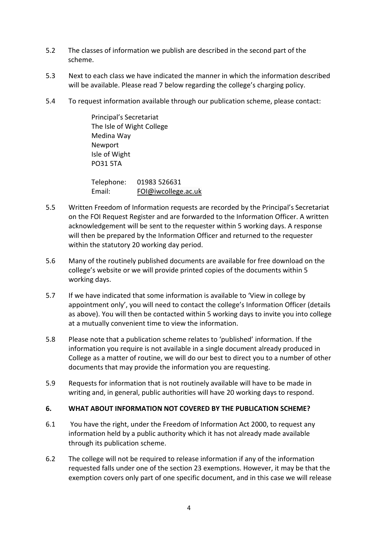- 5.2 The classes of information we publish are described in the second part of the scheme.
- 5.3 Next to each class we have indicated the manner in which the information described will be available. Please read 7 below regarding the college's charging policy.
- 5.4 To request information available through our publication scheme, please contact:

Principal's Secretariat The Isle of Wight College Medina Way Newport Isle of Wight PO31 5TA

Telephone: 01983 526631 Email: [FOI@iwcollege.ac.uk](mailto:FOI@iwcollege.ac.uk)

- 5.5 Written Freedom of Information requests are recorded by the Principal's Secretariat on the FOI Request Register and are forwarded to the Information Officer. A written acknowledgement will be sent to the requester within 5 working days. A response will then be prepared by the Information Officer and returned to the requester within the statutory 20 working day period.
- 5.6 Many of the routinely published documents are available for free download on the college's website or we will provide printed copies of the documents within 5 working days.
- 5.7 If we have indicated that some information is available to 'View in college by appointment only', you will need to contact the college's Information Officer (details as above). You will then be contacted within 5 working days to invite you into college at a mutually convenient time to view the information.
- 5.8 Please note that a publication scheme relates to 'published' information. If the information you require is not available in a single document already produced in College as a matter of routine, we will do our best to direct you to a number of other documents that may provide the information you are requesting.
- 5.9 Requests for information that is not routinely available will have to be made in writing and, in general, public authorities will have 20 working days to respond.

#### **6. WHAT ABOUT INFORMATION NOT COVERED BY THE PUBLICATION SCHEME?**

- 6.1 You have the right, under the Freedom of Information Act 2000, to request any information held by a public authority which it has not already made available through its publication scheme.
- 6.2 The college will not be required to release information if any of the information requested falls under one of the section 23 exemptions. However, it may be that the exemption covers only part of one specific document, and in this case we will release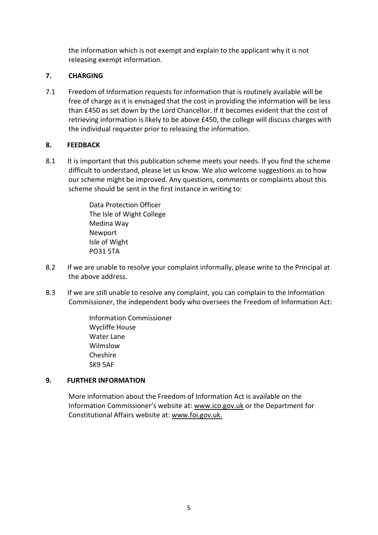the information which is not exempt and explain to the applicant why it is not releasing exempt information.

#### **7. CHARGING**

7.1 Freedom of Information requests for information that is routinely available will be free of charge as it is envisaged that the cost in providing the information will be less than £450 as set down by the Lord Chancellor. If it becomes evident that the cost of retrieving information is likely to be above £450, the college will discuss charges with the individual requester prior to releasing the information.

#### **8. FEEDBACK**

8.1 It is important that this publication scheme meets your needs. If you find the scheme difficult to understand, please let us know. We also welcome suggestions as to how our scheme might be improved. Any questions, comments or complaints about this scheme should be sent in the first instance in writing to:

> Data Protection Officer The Isle of Wight College Medina Way Newport Isle of Wight PO31 5TA

- 8.2 If we are unable to resolve your complaint informally, please write to the Principal at the above address.
- 8.3 If we are still unable to resolve any complaint, you can complain to the Information Commissioner, the independent body who oversees the Freedom of Information Act:

 Information Commissioner Wycliffe House Water Lane Wilmslow Cheshire SK9 5AF

#### **9. FURTHER INFORMATION**

More information about the Freedom of Information Act is available on the Information Commissioner's website at: [www.ico.gov.uk](http://www.ico.gov.uk/) or the Department for Constitutional Affairs website at: [www.foi.gov.uk.](http://www.foi.gov.uk/)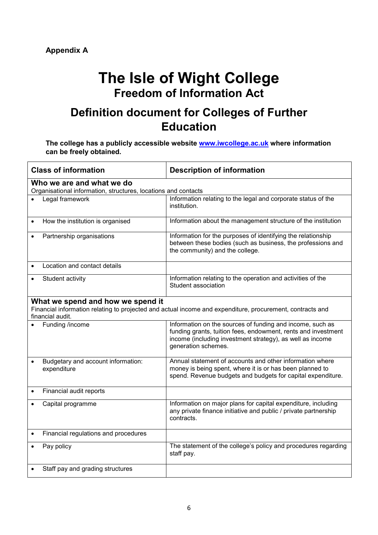## **The Isle of Wight College Freedom of Information Act**

## **Definition document for Colleges of Further Education**

**The college has a publicly accessible website [www.iwcollege.ac.uk](http://www.iwcollege.ac.uk/) where information can be freely obtained.**

| <b>Class of information</b>                                                                                                                                        | <b>Description of information</b>                                                                                                                                                                              |  |  |  |
|--------------------------------------------------------------------------------------------------------------------------------------------------------------------|----------------------------------------------------------------------------------------------------------------------------------------------------------------------------------------------------------------|--|--|--|
| Who we are and what we do<br>Organisational information, structures, locations and contacts                                                                        |                                                                                                                                                                                                                |  |  |  |
| Legal framework                                                                                                                                                    | Information relating to the legal and corporate status of the<br>institution.                                                                                                                                  |  |  |  |
| How the institution is organised                                                                                                                                   | Information about the management structure of the institution                                                                                                                                                  |  |  |  |
| Partnership organisations                                                                                                                                          | Information for the purposes of identifying the relationship<br>between these bodies (such as business, the professions and<br>the community) and the college.                                                 |  |  |  |
| Location and contact details                                                                                                                                       |                                                                                                                                                                                                                |  |  |  |
| Student activity                                                                                                                                                   | Information relating to the operation and activities of the<br>Student association                                                                                                                             |  |  |  |
| What we spend and how we spend it<br>Financial information relating to projected and actual income and expenditure, procurement, contracts and<br>financial audit. |                                                                                                                                                                                                                |  |  |  |
| Funding /income                                                                                                                                                    | Information on the sources of funding and income, such as<br>funding grants, tuition fees, endowment, rents and investment<br>income (including investment strategy), as well as income<br>generation schemes. |  |  |  |
| Budgetary and account information:<br>expenditure                                                                                                                  | Annual statement of accounts and other information where<br>money is being spent, where it is or has been planned to<br>spend. Revenue budgets and budgets for capital expenditure.                            |  |  |  |
| Financial audit reports<br>$\bullet$                                                                                                                               |                                                                                                                                                                                                                |  |  |  |
| Capital programme                                                                                                                                                  | Information on major plans for capital expenditure, including<br>any private finance initiative and public / private partnership<br>contracts.                                                                 |  |  |  |
| Financial regulations and procedures<br>$\bullet$                                                                                                                  |                                                                                                                                                                                                                |  |  |  |
| Pay policy                                                                                                                                                         | The statement of the college's policy and procedures regarding<br>staff pay.                                                                                                                                   |  |  |  |
| Staff pay and grading structures                                                                                                                                   |                                                                                                                                                                                                                |  |  |  |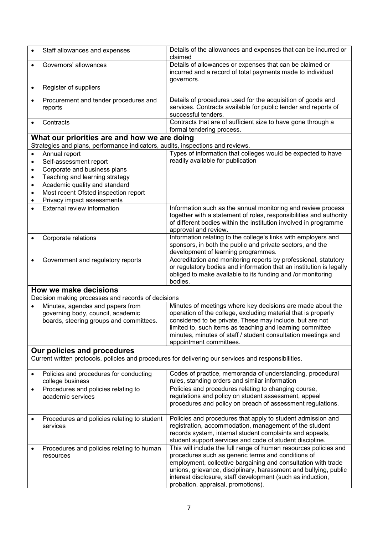|                        | Staff allowances and expenses                                                  | Details of the allowances and expenses that can be incurred or<br>claimed                                                                                                                                                                                                                                                 |
|------------------------|--------------------------------------------------------------------------------|---------------------------------------------------------------------------------------------------------------------------------------------------------------------------------------------------------------------------------------------------------------------------------------------------------------------------|
|                        | Governors' allowances                                                          | Details of allowances or expenses that can be claimed or<br>incurred and a record of total payments made to individual<br>governors.                                                                                                                                                                                      |
|                        | Register of suppliers                                                          |                                                                                                                                                                                                                                                                                                                           |
|                        | Procurement and tender procedures and<br>reports                               | Details of procedures used for the acquisition of goods and<br>services. Contracts available for public tender and reports of<br>successful tenders.                                                                                                                                                                      |
|                        | Contracts                                                                      | Contracts that are of sufficient size to have gone through a<br>formal tendering process.                                                                                                                                                                                                                                 |
|                        | What our priorities are and how we are doing                                   |                                                                                                                                                                                                                                                                                                                           |
|                        | Strategies and plans, performance indicators, audits, inspections and reviews. |                                                                                                                                                                                                                                                                                                                           |
| $\bullet$              | Annual report                                                                  | Types of information that colleges would be expected to have                                                                                                                                                                                                                                                              |
| $\bullet$              | Self-assessment report                                                         | readily available for publication                                                                                                                                                                                                                                                                                         |
| $\bullet$              | Corporate and business plans<br>Teaching and learning strategy                 |                                                                                                                                                                                                                                                                                                                           |
| $\bullet$<br>$\bullet$ | Academic quality and standard                                                  |                                                                                                                                                                                                                                                                                                                           |
| $\bullet$              | Most recent Ofsted inspection report                                           |                                                                                                                                                                                                                                                                                                                           |
|                        | Privacy impact assessments                                                     |                                                                                                                                                                                                                                                                                                                           |
|                        | External review information                                                    | Information such as the annual monitoring and review process<br>together with a statement of roles, responsibilities and authority<br>of different bodies within the institution involved in programme<br>approval and review.                                                                                            |
|                        | Corporate relations                                                            | Information relating to the college's links with employers and<br>sponsors, in both the public and private sectors, and the                                                                                                                                                                                               |
|                        |                                                                                | development of learning programmes.                                                                                                                                                                                                                                                                                       |
|                        | Government and regulatory reports                                              | Accreditation and monitoring reports by professional, statutory<br>or regulatory bodies and information that an institution is legally<br>obliged to make available to its funding and /or monitoring<br>bodies.                                                                                                          |
|                        | How we make decisions<br>Decision making processes and records of decisions    |                                                                                                                                                                                                                                                                                                                           |
|                        | Minutes, agendas and papers from                                               | Minutes of meetings where key decisions are made about the                                                                                                                                                                                                                                                                |
|                        | governing body, council, academic                                              | operation of the college, excluding material that is properly                                                                                                                                                                                                                                                             |
|                        | boards, steering groups and committees.                                        | considered to be private. These may include, but are not<br>limited to, such items as teaching and learning committee                                                                                                                                                                                                     |
|                        |                                                                                | minutes, minutes of staff / student consultation meetings and                                                                                                                                                                                                                                                             |
|                        |                                                                                | appointment committees.                                                                                                                                                                                                                                                                                                   |
|                        | Our policies and procedures                                                    |                                                                                                                                                                                                                                                                                                                           |
|                        |                                                                                | Current written protocols, policies and procedures for delivering our services and responsibilities.                                                                                                                                                                                                                      |
|                        | Policies and procedures for conducting<br>college business                     | Codes of practice, memoranda of understanding, procedural<br>rules, standing orders and similar information                                                                                                                                                                                                               |
|                        | Procedures and policies relating to                                            | Policies and procedures relating to changing course,                                                                                                                                                                                                                                                                      |
|                        | academic services                                                              | regulations and policy on student assessment, appeal                                                                                                                                                                                                                                                                      |
|                        |                                                                                | procedures and policy on breach of assessment regulations.                                                                                                                                                                                                                                                                |
|                        | Procedures and policies relating to student<br>services                        | Policies and procedures that apply to student admission and<br>registration, accommodation, management of the student<br>records system, internal student complaints and appeals,<br>student support services and code of student discipline.                                                                             |
|                        | Procedures and policies relating to human<br>resources                         | This will include the full range of human resources policies and<br>procedures such as generic terms and conditions of<br>employment, collective bargaining and consultation with trade<br>unions, grievance, disciplinary, harassment and bullying, public<br>interest disclosure, staff development (such as induction, |
|                        |                                                                                | probation, appraisal, promotions).                                                                                                                                                                                                                                                                                        |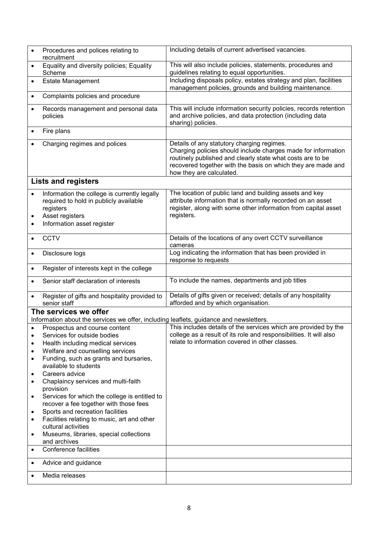| $\bullet$ | Procedures and polices relating to<br>recruitment                                                                                                    | Including details of current advertised vacancies.                                                                                                                                                                                                                    |
|-----------|------------------------------------------------------------------------------------------------------------------------------------------------------|-----------------------------------------------------------------------------------------------------------------------------------------------------------------------------------------------------------------------------------------------------------------------|
| $\bullet$ | Equality and diversity policies; Equality<br>Scheme                                                                                                  | This will also include policies, statements, procedures and<br>guidelines relating to equal opportunities.                                                                                                                                                            |
| $\bullet$ | <b>Estate Management</b>                                                                                                                             | Including disposals policy, estates strategy and plan, facilities<br>management policies, grounds and building maintenance.                                                                                                                                           |
| $\bullet$ | Complaints policies and procedure                                                                                                                    |                                                                                                                                                                                                                                                                       |
| $\bullet$ | Records management and personal data<br>policies                                                                                                     | This will include information security policies, records retention<br>and archive policies, and data protection (including data<br>sharing) policies.                                                                                                                 |
| $\bullet$ | Fire plans                                                                                                                                           |                                                                                                                                                                                                                                                                       |
|           | Charging regimes and polices                                                                                                                         | Details of any statutory charging regimes.<br>Charging policies should include charges made for information<br>routinely published and clearly state what costs are to be<br>recovered together with the basis on which they are made and<br>how they are calculated. |
|           | <b>Lists and registers</b>                                                                                                                           |                                                                                                                                                                                                                                                                       |
| ٠<br>٠    | Information the college is currently legally<br>required to hold in publicly available<br>registers<br>Asset registers<br>Information asset register | The location of public land and building assets and key<br>attribute information that is normally recorded on an asset<br>register, along with some other information from capital asset<br>registers.                                                                |
|           | <b>CCTV</b>                                                                                                                                          | Details of the locations of any overt CCTV surveillance<br>cameras                                                                                                                                                                                                    |
| $\bullet$ | Disclosure logs                                                                                                                                      | Log indicating the information that has been provided in<br>response to requests                                                                                                                                                                                      |
| $\bullet$ | Register of interests kept in the college                                                                                                            |                                                                                                                                                                                                                                                                       |
| $\bullet$ | Senior staff declaration of interests                                                                                                                | To include the names, departments and job titles                                                                                                                                                                                                                      |
| $\bullet$ | Register of gifts and hospitality provided to<br>senior staff                                                                                        | Details of gifts given or received; details of any hospitality<br>afforded and by which organisation.                                                                                                                                                                 |
|           | The services we offer                                                                                                                                |                                                                                                                                                                                                                                                                       |
|           | Information about the services we offer, including leaflets, guidance and newsletters.<br>Prospectus and course content                              | This includes details of the services which are provided by the                                                                                                                                                                                                       |
| ٠         | Services for outside bodies                                                                                                                          | college as a result of its role and responsibilities. It will also                                                                                                                                                                                                    |
| ٠         | Health including medical services                                                                                                                    | relate to information covered in other classes.                                                                                                                                                                                                                       |
| ٠         | Welfare and counselling services                                                                                                                     |                                                                                                                                                                                                                                                                       |
| ٠         | Funding, such as grants and bursaries,<br>available to students                                                                                      |                                                                                                                                                                                                                                                                       |
| ٠         | Careers advice                                                                                                                                       |                                                                                                                                                                                                                                                                       |
| ٠         | Chaplaincy services and multi-faith<br>provision                                                                                                     |                                                                                                                                                                                                                                                                       |
| ٠         | Services for which the college is entitled to<br>recover a fee together with those fees                                                              |                                                                                                                                                                                                                                                                       |
| $\bullet$ | Sports and recreation facilities                                                                                                                     |                                                                                                                                                                                                                                                                       |
| ٠         | Facilities relating to music, art and other<br>cultural activities                                                                                   |                                                                                                                                                                                                                                                                       |
| $\bullet$ | Museums, libraries, special collections<br>and archives                                                                                              |                                                                                                                                                                                                                                                                       |
| $\bullet$ | Conference facilities                                                                                                                                |                                                                                                                                                                                                                                                                       |
| $\bullet$ | Advice and guidance                                                                                                                                  |                                                                                                                                                                                                                                                                       |
| $\bullet$ | Media releases                                                                                                                                       |                                                                                                                                                                                                                                                                       |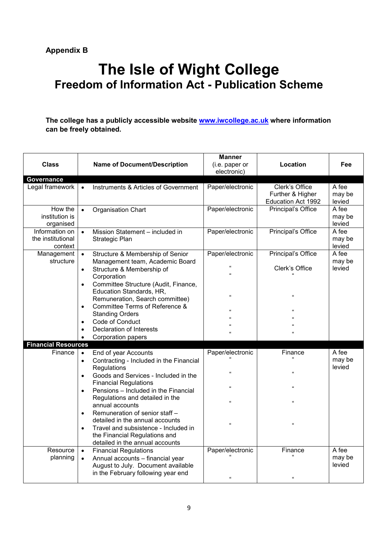## **The Isle of Wight College Freedom of Information Act - Publication Scheme**

#### **The college has a publicly accessible website [www.iwcollege.ac.uk](http://www.iwcollege.ac.uk/) where information can be freely obtained.**

| <b>Class</b>                                   | <b>Name of Document/Description</b>                                                                                                                                                                                                                                                                                                                                                                                                                                                                                 | <b>Manner</b><br>(i.e. paper or<br>electronic)                                           | Location                                                                 | Fee                       |
|------------------------------------------------|---------------------------------------------------------------------------------------------------------------------------------------------------------------------------------------------------------------------------------------------------------------------------------------------------------------------------------------------------------------------------------------------------------------------------------------------------------------------------------------------------------------------|------------------------------------------------------------------------------------------|--------------------------------------------------------------------------|---------------------------|
| Governance<br>Legal framework                  | Instruments & Articles of Government<br>$\bullet$                                                                                                                                                                                                                                                                                                                                                                                                                                                                   | Paper/electronic                                                                         | Clerk's Office<br>Further & Higher<br>Education Act 1992                 | A fee<br>may be<br>levied |
| How the<br>institution is<br>organised         | <b>Organisation Chart</b><br>$\bullet$                                                                                                                                                                                                                                                                                                                                                                                                                                                                              | Paper/electronic                                                                         | Principal's Office                                                       | A fee<br>may be<br>levied |
| Information on<br>the institutional<br>context | Mission Statement - included in<br>$\bullet$<br>Strategic Plan                                                                                                                                                                                                                                                                                                                                                                                                                                                      | Paper/electronic                                                                         | <b>Principal's Office</b>                                                | A fee<br>may be<br>levied |
| Management<br>structure                        | Structure & Membership of Senior<br>$\bullet$<br>Management team, Academic Board<br>Structure & Membership of<br>$\bullet$<br>Corporation<br>Committee Structure (Audit, Finance,<br>$\bullet$<br>Education Standards, HR,<br>Remuneration, Search committee)<br>Committee Terms of Reference &<br><b>Standing Orders</b><br>Code of Conduct<br>$\bullet$<br><b>Declaration of Interests</b><br>Corporation papers                                                                                                  | Paper/electronic<br>$\alpha$<br>$\alpha$<br>$\alpha$<br>$\alpha$<br>$\alpha$<br>$\alpha$ | Principal's Office<br>Clerk's Office<br>$\mathbf{g}$<br>$\epsilon$<br>Ġ. | A fee<br>may be<br>levied |
| <b>Financial Resources</b>                     |                                                                                                                                                                                                                                                                                                                                                                                                                                                                                                                     |                                                                                          |                                                                          |                           |
| Finance                                        | End of year Accounts<br>$\bullet$<br>Contracting - Included in the Financial<br>$\bullet$<br>Regulations<br>Goods and Services - Included in the<br>$\bullet$<br><b>Financial Regulations</b><br>Pensions - Included in the Financial<br>$\bullet$<br>Regulations and detailed in the<br>annual accounts<br>Remuneration of senior staff -<br>$\bullet$<br>detailed in the annual accounts<br>Travel and subsistence - Included in<br>$\bullet$<br>the Financial Regulations and<br>detailed in the annual accounts | Paper/electronic<br>$\alpha$<br>$\alpha$<br>$\alpha$<br>$\pmb{\mathfrak{u}}$             | Finance<br>Ġ.<br>$\alpha$<br>$\alpha$<br>$\alpha$                        | A fee<br>may be<br>levied |
| Resource<br>planning                           | <b>Financial Regulations</b><br>$\bullet$<br>Annual accounts - financial year<br>$\bullet$<br>August to July. Document available<br>in the February following year end                                                                                                                                                                                                                                                                                                                                              | Paper/electronic<br>$\alpha$                                                             | Finance<br>$\mathbf{g}$                                                  | A fee<br>may be<br>levied |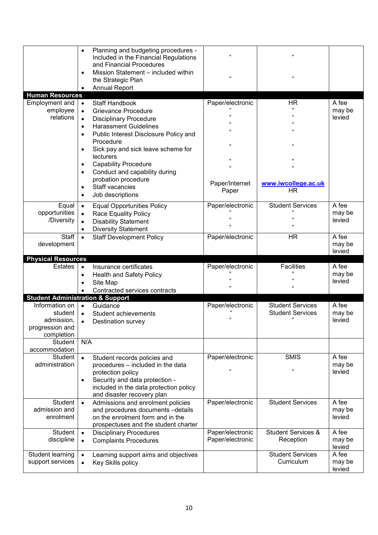|                                      | Planning and budgeting procedures -<br>$\bullet$<br>Included in the Financial Regulations<br>and Financial Procedures<br>Mission Statement - included within<br>$\bullet$<br>the Strategic Plan<br><b>Annual Report</b> | $\alpha$<br>$\alpha$ | $\mathbf{G}$<br>$\mathbf{G}$          |                  |
|--------------------------------------|-------------------------------------------------------------------------------------------------------------------------------------------------------------------------------------------------------------------------|----------------------|---------------------------------------|------------------|
| <b>Human Resources</b>               |                                                                                                                                                                                                                         |                      |                                       |                  |
| Employment and<br>employee           | <b>Staff Handbook</b><br>$\bullet$                                                                                                                                                                                      | Paper/electronic     | <b>HR</b><br>$\Omega$                 | A fee<br>may be  |
| relations                            | <b>Grievance Procedure</b><br>$\bullet$<br><b>Disciplinary Procedure</b><br>$\bullet$                                                                                                                                   |                      |                                       | levied           |
|                                      | <b>Harassment Guidelines</b><br>$\bullet$                                                                                                                                                                               |                      | $\epsilon$                            |                  |
|                                      | Public Interest Disclosure Policy and<br>$\bullet$                                                                                                                                                                      |                      | Ġ.                                    |                  |
|                                      | Procedure                                                                                                                                                                                                               |                      |                                       |                  |
|                                      | Sick pay and sick leave scheme for<br>$\bullet$                                                                                                                                                                         | $\epsilon$           | $\mathbf{G}$                          |                  |
|                                      | lecturers                                                                                                                                                                                                               |                      | $\alpha$                              |                  |
|                                      | <b>Capability Procedure</b><br>$\bullet$                                                                                                                                                                                | $\epsilon$           | $\Omega$                              |                  |
|                                      | Conduct and capability during<br>$\bullet$                                                                                                                                                                              |                      |                                       |                  |
|                                      | probation procedure                                                                                                                                                                                                     | Paper/Internet       | www.iwcollege.ac.uk                   |                  |
|                                      | Staff vacancies<br>$\bullet$                                                                                                                                                                                            | Paper                | <b>HR</b>                             |                  |
|                                      | Job descriptions<br>$\bullet$                                                                                                                                                                                           |                      |                                       |                  |
| Equal                                | <b>Equal Opportunities Policy</b><br>$\bullet$                                                                                                                                                                          | Paper/electronic     | <b>Student Services</b>               | A fee            |
| opportunities                        | <b>Race Equality Policy</b><br>$\bullet$                                                                                                                                                                                |                      | $\epsilon$                            | may be<br>levied |
| /Diversity                           | <b>Disability Statement</b><br>$\bullet$                                                                                                                                                                                |                      | Ġ.                                    |                  |
| Staff                                | <b>Diversity Statement</b><br>$\bullet$                                                                                                                                                                                 | Paper/electronic     | <b>HR</b>                             | A fee            |
| development                          | <b>Staff Development Policy</b><br>$\bullet$                                                                                                                                                                            |                      |                                       | may be           |
|                                      |                                                                                                                                                                                                                         |                      |                                       | levied           |
| <b>Physical Resources</b>            |                                                                                                                                                                                                                         |                      |                                       |                  |
|                                      |                                                                                                                                                                                                                         |                      |                                       |                  |
| <b>Estates</b>                       | Insurance certificates<br>$\bullet$                                                                                                                                                                                     | Paper/electronic     | <b>Facilities</b>                     | A fee            |
|                                      | Health and Safety Policy<br>$\bullet$                                                                                                                                                                                   |                      |                                       | may be           |
|                                      | Site Map<br>$\bullet$                                                                                                                                                                                                   | ,,                   | $\alpha$                              | levied           |
|                                      | Contracted services contracts                                                                                                                                                                                           |                      |                                       |                  |
|                                      | <b>Student Administration &amp; Support</b>                                                                                                                                                                             |                      |                                       |                  |
| Information on                       | $\bullet$<br>Guidance                                                                                                                                                                                                   | Paper/electronic     | <b>Student Services</b>               | A fee            |
| student                              | Student achievements<br>$\bullet$                                                                                                                                                                                       |                      | <b>Student Services</b><br>$\alpha$   | may be           |
| admission,                           | Destination survey<br>$\bullet$                                                                                                                                                                                         |                      |                                       | levied           |
| progression and<br>completion        |                                                                                                                                                                                                                         |                      |                                       |                  |
| Student                              | N/A                                                                                                                                                                                                                     |                      |                                       |                  |
| accommodation                        |                                                                                                                                                                                                                         |                      |                                       |                  |
| <b>Student</b>                       | Student records policies and<br>$\bullet$                                                                                                                                                                               | Paper/electronic     | <b>SMIS</b>                           | A fee            |
| administration                       | procedures - included in the data                                                                                                                                                                                       | 'n.                  | $\epsilon$                            | may be           |
|                                      | protection policy                                                                                                                                                                                                       |                      |                                       | levied           |
|                                      | Security and data protection -<br>$\bullet$                                                                                                                                                                             |                      |                                       |                  |
|                                      | included in the data protection policy<br>and disaster recovery plan                                                                                                                                                    |                      |                                       |                  |
| Student                              | Admissions and enrolment policies<br>$\bullet$                                                                                                                                                                          | Paper/electronic     | <b>Student Services</b>               | A fee            |
| admission and                        | and procedures documents -details                                                                                                                                                                                       |                      |                                       | may be           |
| enrolment                            | on the enrolment form and in the                                                                                                                                                                                        |                      |                                       | levied           |
|                                      | prospectuses and the student charter                                                                                                                                                                                    |                      |                                       |                  |
| Student                              | <b>Disciplinary Procedures</b><br>$\bullet$                                                                                                                                                                             | Paper/electronic     | <b>Student Services &amp;</b>         | A fee            |
| discipline                           | <b>Complaints Procedures</b><br>$\bullet$                                                                                                                                                                               | Paper/electronic     | Reception                             | may be           |
|                                      |                                                                                                                                                                                                                         |                      |                                       | levied           |
| Student learning<br>support services | Learning support aims and objectives<br>$\bullet$<br>Key Skills policy<br>$\bullet$                                                                                                                                     |                      | <b>Student Services</b><br>Curriculum | A fee<br>may be  |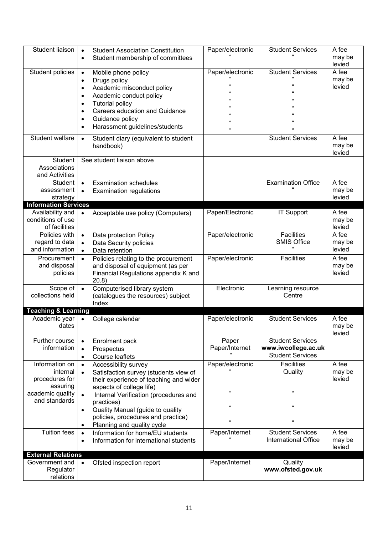| Student liaison                                                              | <b>Student Association Constitution</b><br>$\bullet$<br>Student membership of committees<br>$\bullet$                                                                                                                                                                                                                        | Paper/electronic                 | <b>Student Services</b>                                                   | A fee<br>may be<br>levied |
|------------------------------------------------------------------------------|------------------------------------------------------------------------------------------------------------------------------------------------------------------------------------------------------------------------------------------------------------------------------------------------------------------------------|----------------------------------|---------------------------------------------------------------------------|---------------------------|
| Student policies                                                             | Mobile phone policy<br>$\bullet$<br>Drugs policy<br>$\bullet$<br>Academic misconduct policy<br>$\bullet$<br>Academic conduct policy<br>$\bullet$<br><b>Tutorial policy</b><br>$\bullet$<br><b>Careers education and Guidance</b><br>$\bullet$<br>Guidance policy<br>$\bullet$<br>Harassment guidelines/students<br>$\bullet$ | Paper/electronic<br>'n.          | <b>Student Services</b>                                                   | A fee<br>may be<br>levied |
| Student welfare                                                              | Student diary (equivalent to student<br>$\bullet$<br>handbook)                                                                                                                                                                                                                                                               |                                  | <b>Student Services</b>                                                   | A fee<br>may be<br>levied |
| Student<br>Associations<br>and Activities                                    | See student liaison above                                                                                                                                                                                                                                                                                                    |                                  |                                                                           |                           |
| <b>Student</b><br>assessment<br>strategy                                     | <b>Examination schedules</b><br>$\bullet$<br><b>Examination regulations</b><br>$\bullet$                                                                                                                                                                                                                                     |                                  | <b>Examination Office</b>                                                 | A fee<br>may be<br>levied |
| <b>Information Services</b>                                                  |                                                                                                                                                                                                                                                                                                                              |                                  |                                                                           |                           |
| Availability and<br>conditions of use<br>of facilities                       | Acceptable use policy (Computers)                                                                                                                                                                                                                                                                                            | Paper/Electronic                 | <b>IT Support</b>                                                         | A fee<br>may be<br>levied |
| Policies with<br>regard to data<br>and information                           | Data protection Policy<br>$\bullet$<br>Data Security policies<br>Data retention                                                                                                                                                                                                                                              | Paper/electronic                 | <b>Facilities</b><br><b>SMIS Office</b>                                   | A fee<br>may be<br>levied |
| Procurement<br>and disposal<br>policies                                      | Policies relating to the procurement<br>and disposal of equipment (as per<br>Financial Regulations appendix K and<br>20.8)                                                                                                                                                                                                   | Paper/electronic                 | Facilities                                                                | A fee<br>may be<br>levied |
| Scope of<br>collections held                                                 | Computerised library system<br>$\bullet$<br>(catalogues the resources) subject<br>Index                                                                                                                                                                                                                                      | Electronic                       | Learning resource<br>Centre                                               |                           |
| <b>Teaching &amp; Learning</b>                                               |                                                                                                                                                                                                                                                                                                                              |                                  |                                                                           |                           |
| Academic year<br>dates                                                       | College calendar                                                                                                                                                                                                                                                                                                             | Paper/electronic                 | <b>Student Services</b>                                                   | A fee<br>may be<br>levied |
| Further course<br>information                                                | Enrolment pack<br>Prospectus<br>$\bullet$<br>Course leaflets<br>$\bullet$                                                                                                                                                                                                                                                    | Paper<br>Paper/Internet          | <b>Student Services</b><br>www.iwcollege.ac.uk<br><b>Student Services</b> |                           |
| Information on<br>internal<br>procedures for<br>assuring<br>academic quality | Accessibility survey<br>$\bullet$<br>Satisfaction survey (students view of<br>their experience of teaching and wider<br>aspects of college life)                                                                                                                                                                             | Paper/electronic<br>$\mathbf{a}$ | <b>Facilities</b><br>Quality<br>$\epsilon$                                | A fee<br>may be<br>levied |
| and standards                                                                | Internal Verification (procedures and<br>practices)<br>Quality Manual (guide to quality<br>$\bullet$<br>policies, procedures and practice)<br>Planning and quality cycle                                                                                                                                                     | $\mathbf{a}$<br>'n.              | $\mathbf{G}$<br>$\mathbf{G}$                                              |                           |
| <b>Tuition fees</b>                                                          | Information for home/EU students<br>$\bullet$<br>Information for international students<br>$\bullet$                                                                                                                                                                                                                         | Paper/Internet                   | <b>Student Services</b><br>International Office                           | A fee<br>may be<br>levied |
| <b>External Relations</b>                                                    |                                                                                                                                                                                                                                                                                                                              |                                  |                                                                           |                           |
| Government and<br>Regulator<br>relations                                     | Ofsted inspection report<br>$\bullet$                                                                                                                                                                                                                                                                                        | Paper/Internet                   | Quality<br>www.ofsted.gov.uk                                              |                           |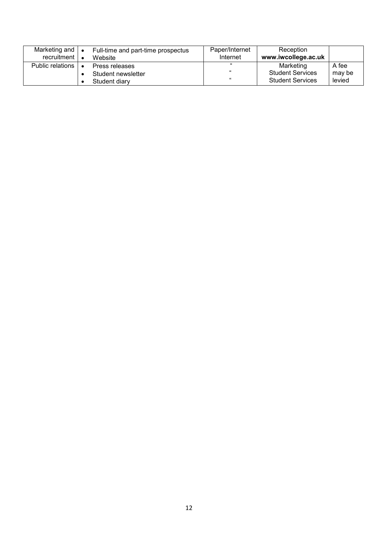| Marketing and<br>recruitment | $\bullet$ | Full-time and part-time prospectus<br>Website | Paper/Internet<br>Internet | Reception<br>www.iwcollege.ac.uk |        |
|------------------------------|-----------|-----------------------------------------------|----------------------------|----------------------------------|--------|
| Public relations             |           | Press releases                                | 66.                        | Marketing                        | A fee  |
|                              |           | Student newsletter                            | 66                         | <b>Student Services</b>          | may be |
|                              |           | Student diary                                 | 66                         | <b>Student Services</b>          | levied |